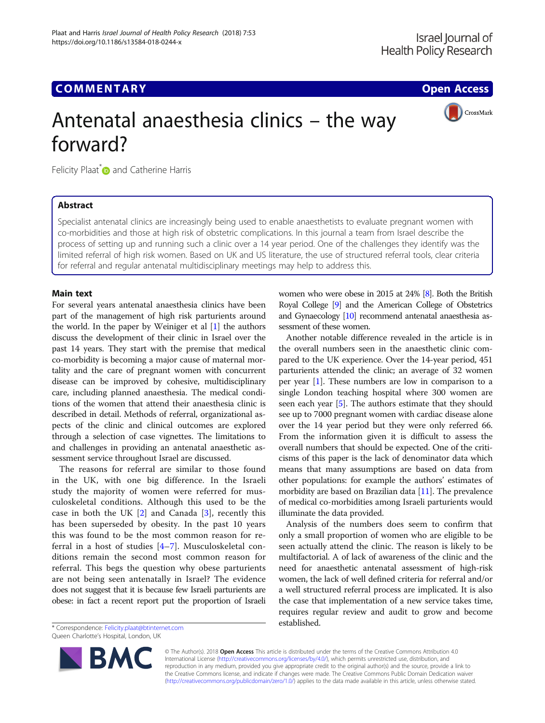# **COMMENTARY COMMENTARY COMMENTARY**



# Antenatal anaesthesia clinics – the way forward?

Felicity Plaat<sup>[\\*](http://orcid.org/0000-0003-2081-3992)</sup> and Catherine Harris

# Abstract

Specialist antenatal clinics are increasingly being used to enable anaesthetists to evaluate pregnant women with co-morbidities and those at high risk of obstetric complications. In this journal a team from Israel describe the process of setting up and running such a clinic over a 14 year period. One of the challenges they identify was the limited referral of high risk women. Based on UK and US literature, the use of structured referral tools, clear criteria for referral and regular antenatal multidisciplinary meetings may help to address this.

# Main text

For several years antenatal anaesthesia clinics have been part of the management of high risk parturients around the world. In the paper by Weiniger et al [[1\]](#page-2-0) the authors discuss the development of their clinic in Israel over the past 14 years. They start with the premise that medical co-morbidity is becoming a major cause of maternal mortality and the care of pregnant women with concurrent disease can be improved by cohesive, multidisciplinary care, including planned anaesthesia. The medical conditions of the women that attend their anaesthesia clinic is described in detail. Methods of referral, organizational aspects of the clinic and clinical outcomes are explored through a selection of case vignettes. The limitations to and challenges in providing an antenatal anaesthetic assessment service throughout Israel are discussed.

The reasons for referral are similar to those found in the UK, with one big difference. In the Israeli study the majority of women were referred for musculoskeletal conditions. Although this used to be the case in both the UK  $[2]$  $[2]$  and Canada  $[3]$  $[3]$ , recently this has been superseded by obesity. In the past 10 years this was found to be the most common reason for referral in a host of studies [[4](#page-2-0)–[7\]](#page-2-0). Musculoskeletal conditions remain the second most common reason for referral. This begs the question why obese parturients are not being seen antenatally in Israel? The evidence does not suggest that it is because few Israeli parturients are obese: in fact a recent report put the proportion of Israeli

established. \* Correspondence: [Felicity.plaat@btinternet.com](mailto:Felicity.plaat@btinternet.com)

Queen Charlotte's Hospital, London, UK

women who were obese in 2015 at 24% [\[8](#page-2-0)]. Both the British Royal College [\[9](#page-2-0)] and the American College of Obstetrics and Gynaecology [[10\]](#page-2-0) recommend antenatal anaesthesia assessment of these women.

Another notable difference revealed in the article is in the overall numbers seen in the anaesthetic clinic compared to the UK experience. Over the 14-year period, 451 parturients attended the clinic; an average of 32 women per year [\[1\]](#page-2-0). These numbers are low in comparison to a single London teaching hospital where 300 women are seen each year [\[5\]](#page-2-0). The authors estimate that they should see up to 7000 pregnant women with cardiac disease alone over the 14 year period but they were only referred 66. From the information given it is difficult to assess the overall numbers that should be expected. One of the criticisms of this paper is the lack of denominator data which means that many assumptions are based on data from other populations: for example the authors' estimates of morbidity are based on Brazilian data [[11\]](#page-2-0). The prevalence of medical co-morbidities among Israeli parturients would illuminate the data provided.

Analysis of the numbers does seem to confirm that only a small proportion of women who are eligible to be seen actually attend the clinic. The reason is likely to be multifactorial. A of lack of awareness of the clinic and the need for anaesthetic antenatal assessment of high-risk women, the lack of well defined criteria for referral and/or a well structured referral process are implicated. It is also the case that implementation of a new service takes time, requires regular review and audit to grow and become



© The Author(s). 2018 **Open Access** This article is distributed under the terms of the Creative Commons Attribution 4.0 International License [\(http://creativecommons.org/licenses/by/4.0/](http://creativecommons.org/licenses/by/4.0/)), which permits unrestricted use, distribution, and reproduction in any medium, provided you give appropriate credit to the original author(s) and the source, provide a link to the Creative Commons license, and indicate if changes were made. The Creative Commons Public Domain Dedication waiver [\(http://creativecommons.org/publicdomain/zero/1.0/](http://creativecommons.org/publicdomain/zero/1.0/)) applies to the data made available in this article, unless otherwise stated.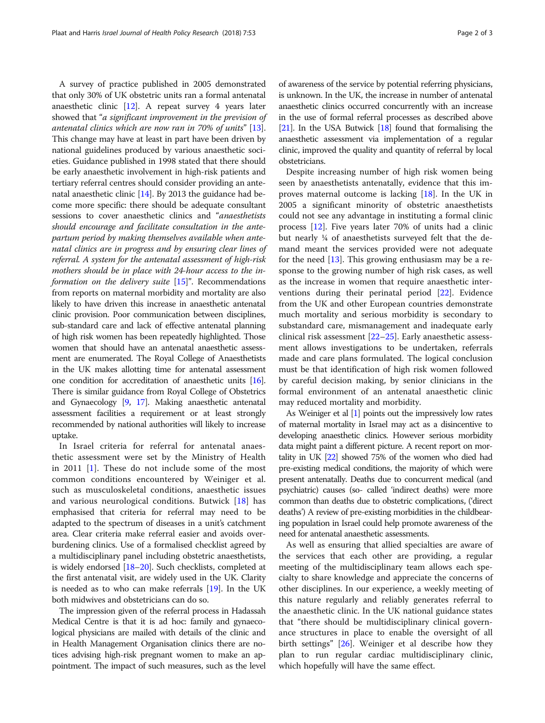A survey of practice published in 2005 demonstrated that only 30% of UK obstetric units ran a formal antenatal anaesthetic clinic [\[12\]](#page-2-0). A repeat survey 4 years later showed that "a significant improvement in the prevision of antenatal clinics which are now ran in 70% of units" [[13](#page-2-0)]. This change may have at least in part have been driven by national guidelines produced by various anaesthetic societies. Guidance published in 1998 stated that there should be early anaesthetic involvement in high-risk patients and tertiary referral centres should consider providing an antenatal anaesthetic clinic [[14](#page-2-0)]. By 2013 the guidance had become more specific: there should be adequate consultant sessions to cover anaesthetic clinics and "anaesthetists should encourage and facilitate consultation in the antepartum period by making themselves available when antenatal clinics are in progress and by ensuring clear lines of referral. A system for the antenatal assessment of high-risk mothers should be in place with 24-hour access to the information on the delivery suite  $[15]$ ". Recommendations from reports on maternal morbidity and mortality are also likely to have driven this increase in anaesthetic antenatal clinic provision. Poor communication between disciplines, sub-standard care and lack of effective antenatal planning of high risk women has been repeatedly highlighted. Those women that should have an antenatal anaesthetic assessment are enumerated. The Royal College of Anaesthetists in the UK makes allotting time for antenatal assessment one condition for accreditation of anaesthetic units [\[16](#page-2-0)]. There is similar guidance from Royal College of Obstetrics and Gynaecology [\[9](#page-2-0), [17](#page-2-0)]. Making anaesthetic antenatal assessment facilities a requirement or at least strongly recommended by national authorities will likely to increase uptake.

In Israel criteria for referral for antenatal anaesthetic assessment were set by the Ministry of Health in 2011 [[1\]](#page-2-0). These do not include some of the most common conditions encountered by Weiniger et al. such as musculoskeletal conditions, anaesthetic issues and various neurological conditions. Butwick [[18\]](#page-2-0) has emphasised that criteria for referral may need to be adapted to the spectrum of diseases in a unit's catchment area. Clear criteria make referral easier and avoids overburdening clinics. Use of a formalised checklist agreed by a multidisciplinary panel including obstetric anaesthetists, is widely endorsed [[18](#page-2-0)–[20\]](#page-2-0). Such checklists, completed at the first antenatal visit, are widely used in the UK. Clarity is needed as to who can make referrals [[19](#page-2-0)]. In the UK both midwives and obstetricians can do so.

The impression given of the referral process in Hadassah Medical Centre is that it is ad hoc: family and gynaecological physicians are mailed with details of the clinic and in Health Management Organisation clinics there are notices advising high-risk pregnant women to make an appointment. The impact of such measures, such as the level

of awareness of the service by potential referring physicians, is unknown. In the UK, the increase in number of antenatal anaesthetic clinics occurred concurrently with an increase in the use of formal referral processes as described above [[21](#page-2-0)]. In the USA Butwick [[18](#page-2-0)] found that formalising the anaesthetic assessment via implementation of a regular clinic, improved the quality and quantity of referral by local obstetricians.

Despite increasing number of high risk women being seen by anaesthetists antenatally, evidence that this improves maternal outcome is lacking [\[18\]](#page-2-0). In the UK in 2005 a significant minority of obstetric anaesthetists could not see any advantage in instituting a formal clinic process [[12](#page-2-0)]. Five years later 70% of units had a clinic but nearly ¼ of anaesthetists surveyed felt that the demand meant the services provided were not adequate for the need  $[13]$  $[13]$ . This growing enthusiasm may be a response to the growing number of high risk cases, as well as the increase in women that require anaesthetic interventions during their perinatal period [\[22\]](#page-2-0). Evidence from the UK and other European countries demonstrate much mortality and serious morbidity is secondary to substandard care, mismanagement and inadequate early clinical risk assessment [\[22](#page-2-0)–[25\]](#page-2-0). Early anaesthetic assessment allows investigations to be undertaken, referrals made and care plans formulated. The logical conclusion must be that identification of high risk women followed by careful decision making, by senior clinicians in the formal environment of an antenatal anaesthetic clinic may reduced mortality and morbidity.

As Weiniger et al [\[1](#page-2-0)] points out the impressively low rates of maternal mortality in Israel may act as a disincentive to developing anaesthetic clinics. However serious morbidity data might paint a different picture. A recent report on mortality in UK [[22\]](#page-2-0) showed 75% of the women who died had pre-existing medical conditions, the majority of which were present antenatally. Deaths due to concurrent medical (and psychiatric) causes (so- called 'indirect deaths) were more common than deaths due to obstetric complications, ('direct deaths') A review of pre-existing morbidities in the childbearing population in Israel could help promote awareness of the need for antenatal anaesthetic assessments.

As well as ensuring that allied specialties are aware of the services that each other are providing, a regular meeting of the multidisciplinary team allows each specialty to share knowledge and appreciate the concerns of other disciplines. In our experience, a weekly meeting of this nature regularly and reliably generates referral to the anaesthetic clinic. In the UK national guidance states that "there should be multidisciplinary clinical governance structures in place to enable the oversight of all birth settings" [[26](#page-2-0)]. Weiniger et al describe how they plan to run regular cardiac multidisciplinary clinic, which hopefully will have the same effect.